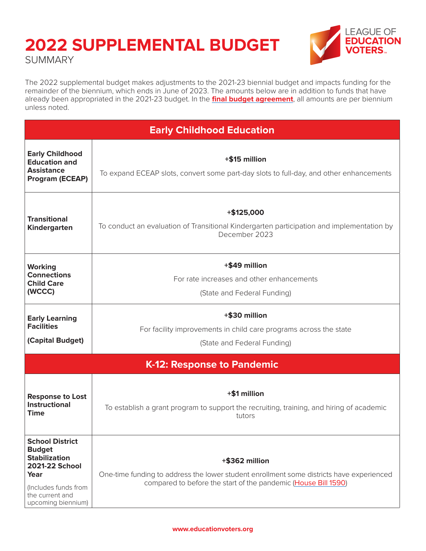#### **2022 SUPPLEMENTAL BUDGET SUMMARY**



The 2022 supplemental budget makes adjustments to the 2021-23 biennial budget and impacts funding for the remainder of the biennium, which ends in June of 2023. The amounts below are in addition to funds that have already been appropriated in the 2021-23 budget. In the **[final budget agreement](http://leap.leg.wa.gov/leap/budget/detail/2022/so2022Supp.asp)**, all amounts are per biennium unless noted.

| <b>Early Childhood Education</b>                                                                                                                           |                                                                                                                                                                              |  |
|------------------------------------------------------------------------------------------------------------------------------------------------------------|------------------------------------------------------------------------------------------------------------------------------------------------------------------------------|--|
| <b>Early Childhood</b><br><b>Education and</b><br><b>Assistance</b><br><b>Program (ECEAP)</b>                                                              | +\$15 million<br>To expand ECEAP slots, convert some part-day slots to full-day, and other enhancements                                                                      |  |
| <b>Transitional</b><br><b>Kindergarten</b>                                                                                                                 | $+$ \$125,000<br>To conduct an evaluation of Transitional Kindergarten participation and implementation by<br>December 2023                                                  |  |
| <b>Working</b><br><b>Connections</b><br><b>Child Care</b><br>(WCCC)                                                                                        | +\$49 million<br>For rate increases and other enhancements<br>(State and Federal Funding)                                                                                    |  |
| <b>Early Learning</b><br><b>Facilities</b><br>(Capital Budget)                                                                                             | +\$30 million<br>For facility improvements in child care programs across the state<br>(State and Federal Funding)                                                            |  |
|                                                                                                                                                            | K-12: Response to Pandemic                                                                                                                                                   |  |
| <b>Response to Lost</b><br><b>Instructional</b><br><b>Time</b>                                                                                             | +\$1 million<br>To establish a grant program to support the recruiting, training, and hiring of academic<br>tutors                                                           |  |
| <b>School District</b><br><b>Budget</b><br><b>Stabilization</b><br>2021-22 School<br>Year<br>(Includes funds from<br>the current and<br>upcoming biennium) | +\$362 million<br>One-time funding to address the lower student enrollment some districts have experienced<br>compared to before the start of the pandemic (House Bill 1590) |  |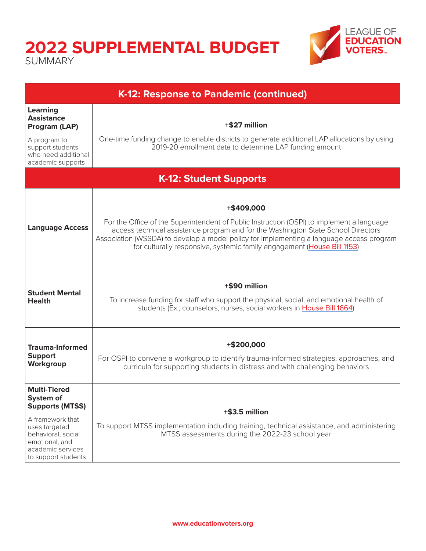# **2022 SUPPLEMENTAL BUDGET**

SUMMARY



| K-12: Response to Pandemic (continued)                                                                                                                                              |                                                                                                                                                                                                                                                                                                                                                                     |  |
|-------------------------------------------------------------------------------------------------------------------------------------------------------------------------------------|---------------------------------------------------------------------------------------------------------------------------------------------------------------------------------------------------------------------------------------------------------------------------------------------------------------------------------------------------------------------|--|
| <b>Learning</b><br><b>Assistance</b><br>Program (LAP)<br>A program to<br>support students<br>who need additional<br>academic supports                                               | +\$27 million<br>One-time funding change to enable districts to generate additional LAP allocations by using<br>2019-20 enrollment data to determine LAP funding amount                                                                                                                                                                                             |  |
| <b>K-12: Student Supports</b>                                                                                                                                                       |                                                                                                                                                                                                                                                                                                                                                                     |  |
| <b>Language Access</b>                                                                                                                                                              | +\$409,000<br>For the Office of the Superintendent of Public Instruction (OSPI) to implement a language<br>access technical assistance program and for the Washington State School Directors<br>Association (WSSDA) to develop a model policy for implementing a language access program<br>for culturally responsive, systemic family engagement (House Bill 1153) |  |
| <b>Student Mental</b><br><b>Health</b>                                                                                                                                              | +\$90 million<br>To increase funding for staff who support the physical, social, and emotional health of<br>students (Ex., counselors, nurses, social workers in House Bill 1664)                                                                                                                                                                                   |  |
| <b>Trauma-Informed</b><br><b>Support</b><br>Workgroup                                                                                                                               | +\$200,000<br>For OSPI to convene a workgroup to identify trauma-informed strategies, approaches, and<br>curricula for supporting students in distress and with challenging behaviors                                                                                                                                                                               |  |
| <b>Multi-Tiered</b><br>System of<br><b>Supports (MTSS)</b><br>A framework that<br>uses targeted<br>behavioral, social<br>emotional, and<br>academic services<br>to support students | $+$ \$3.5 million<br>To support MTSS implementation including training, technical assistance, and administering<br>MTSS assessments during the 2022-23 school year                                                                                                                                                                                                  |  |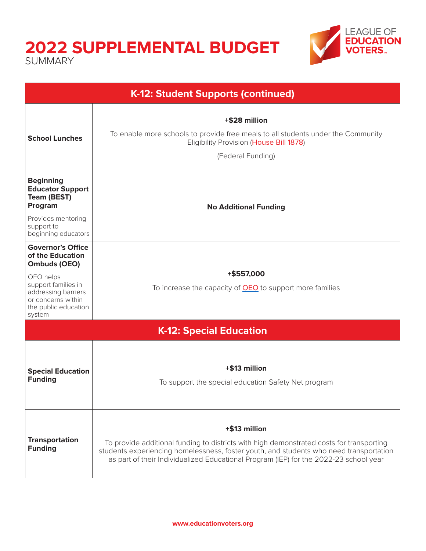### **2022 SUPPLEMENTAL BUDGET**

SUMMARY



| K-12: Student Supports (continued)                                                                                                                                              |                                                                                                                                                                                                                                                                                              |  |
|---------------------------------------------------------------------------------------------------------------------------------------------------------------------------------|----------------------------------------------------------------------------------------------------------------------------------------------------------------------------------------------------------------------------------------------------------------------------------------------|--|
| <b>School Lunches</b>                                                                                                                                                           | +\$28 million<br>To enable more schools to provide free meals to all students under the Community<br>Eligibility Provision (House Bill 1878)<br>(Federal Funding)                                                                                                                            |  |
| <b>Beginning</b><br><b>Educator Support</b><br><b>Team (BEST)</b><br>Program<br>Provides mentoring<br>support to<br>beginning educators                                         | <b>No Additional Funding</b>                                                                                                                                                                                                                                                                 |  |
| <b>Governor's Office</b><br>of the Education<br>Ombuds (OEO)<br>OEO helps<br>support families in<br>addressing barriers<br>or concerns within<br>the public education<br>system | +\$557,000<br>To increase the capacity of <b>OEO</b> to support more families                                                                                                                                                                                                                |  |
| <b>K-12: Special Education</b>                                                                                                                                                  |                                                                                                                                                                                                                                                                                              |  |
| <b>Special Education</b><br><b>Funding</b>                                                                                                                                      | +\$13 million<br>To support the special education Safety Net program                                                                                                                                                                                                                         |  |
| <b>Transportation</b><br><b>Funding</b>                                                                                                                                         | +\$13 million<br>To provide additional funding to districts with high demonstrated costs for transporting<br>students experiencing homelessness, foster youth, and students who need transportation<br>as part of their Individualized Educational Program (IEP) for the 2022-23 school year |  |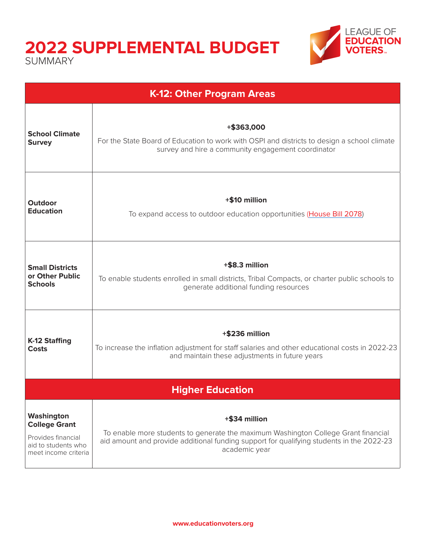## **2022 SUPPLEMENTAL BUDGET**

SUMMARY



**EAGUE OF EDUCATION**